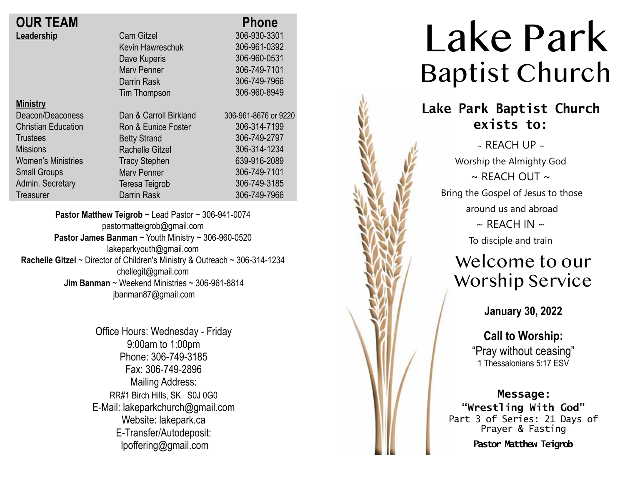| <b>OUR TEAM</b>            |                        | <b>Phone</b>         |
|----------------------------|------------------------|----------------------|
| Leadership                 | <b>Cam Gitzel</b>      | 306-930-3301         |
|                            | Kevin Hawreschuk       | 306-961-0392         |
|                            | Dave Kuperis           | 306-960-0531         |
|                            | <b>Mary Penner</b>     | 306-749-7101         |
|                            | Darrin Rask            | 306-749-7966         |
|                            | Tim Thompson           | 306-960-8949         |
| <b>Ministry</b>            |                        |                      |
| Deacon/Deaconess           | Dan & Carroll Birkland | 306-961-8676 or 9220 |
| <b>Christian Education</b> | Ron & Eunice Foster    | 306-314-7199         |
| <b>Trustees</b>            | <b>Betty Strand</b>    | 306-749-2797         |
| <b>Missions</b>            | <b>Rachelle Gitzel</b> | 306-314-1234         |
| <b>Women's Ministries</b>  | <b>Tracy Stephen</b>   | 639-916-2089         |
| <b>Small Groups</b>        | <b>Mary Penner</b>     | 306-749-7101         |
| Admin. Secretary           | Teresa Teigrob         | 306-749-3185         |
| <b>Treasurer</b>           | <b>Darrin Rask</b>     | 306-749-7966         |

**Pastor Matthew Teigrob** ~ Lead Pastor ~ 306-941-0074 pastormatteigrob@gmail.com **Pastor James Banman** ~ Youth Ministry ~ 306-960-0520 lakeparkyouth@gmail.com **Rachelle Gitzel** ~ Director of Children's Ministry & Outreach ~ 306-314-1234 chellegit@gmail.com  **Jim Banman** ~ Weekend Ministries ~ 306-961-8814 jbanman87@gmail.com

> Office Hours: Wednesday - Friday 9:00am to 1:00pm Phone: 306-749-3185 Fax: 306-749-2896 Mailing Address: RR#1 Birch Hills, SK S0J 0G0 E-Mail: lakeparkchurch@gmail.com Website: lakepark.ca E-Transfer/Autodeposit: lpoffering@gmail.com